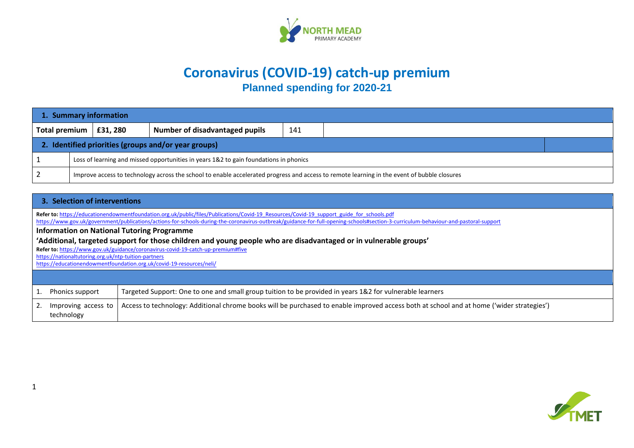

## **Coronavirus (COVID-19) catch-up premium Planned spending for 2020-21**

| 1. Summary information                               |                                                                                                                                             |                  |                                |     |  |  |  |  |  |
|------------------------------------------------------|---------------------------------------------------------------------------------------------------------------------------------------------|------------------|--------------------------------|-----|--|--|--|--|--|
| Total premium                                        |                                                                                                                                             | $\vert$ £31, 280 | Number of disadvantaged pupils | 141 |  |  |  |  |  |
| 2. Identified priorities (groups and/or year groups) |                                                                                                                                             |                  |                                |     |  |  |  |  |  |
|                                                      | Loss of learning and missed opportunities in years 1&2 to gain foundations in phonics                                                       |                  |                                |     |  |  |  |  |  |
| i 2                                                  | Improve access to technology across the school to enable accelerated progress and access to remote learning in the event of bubble closures |                  |                                |     |  |  |  |  |  |

## **3. Selection of interventions**

**Refer to:** [https://educationendowmentfoundation.org.uk/public/files/Publications/Covid-19\\_Resources/Covid-19\\_support\\_guide\\_for\\_schools.pdf](https://educationendowmentfoundation.org.uk/public/files/Publications/Covid-19_Resources/Covid-19_support_guide_for_schools.pdf)

<https://www.gov.uk/government/publications/actions-for-schools-during-the-coronavirus-outbreak/guidance-for-full-opening-schools#section-3-curriculum-behaviour-and-pastoral-support>

**Information on National Tutoring Programme**

**'Additional, targeted support for those children and young people who are disadvantaged or in vulnerable groups'**

**Refer to:** <https://www.gov.uk/guidance/coronavirus-covid-19-catch-up-premium#five>

<https://nationaltutoring.org.uk/ntp-tuition-partners>

<https://educationendowmentfoundation.org.uk/covid-19-resources/neli/>

| 1. Phonics support | Targeted Support: One to one and small group tuition to be provided in years 1&2 for vulnerable learners                                                            |
|--------------------|---------------------------------------------------------------------------------------------------------------------------------------------------------------------|
| technology         | [2. Improving access to   Access to technology: Additional chrome books will be purchased to enable improved access both at school and at home ('wider strategies') |